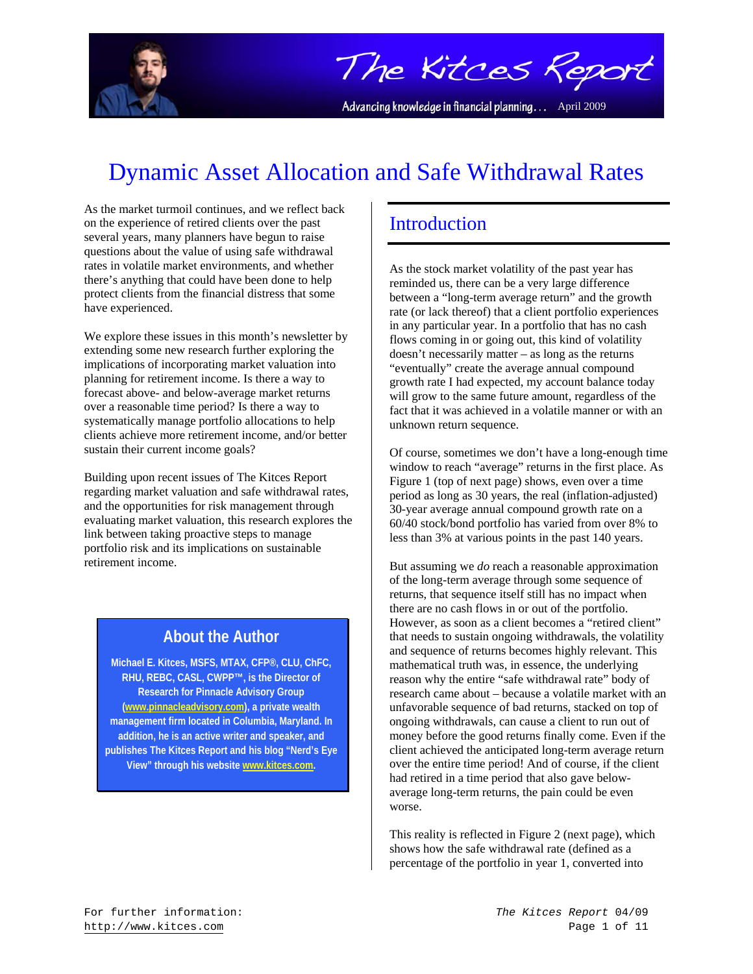

The Kitces Report

Advancing knowledge in financial planning... April 2009

# Dynamic Asset Allocation and Safe Withdrawal Rates

As the market turmoil continues, and we reflect back on the experience of retired clients over the past several years, many planners have begun to raise questions about the value of using safe withdrawal rates in volatile market environments, and whether there's anything that could have been done to help protect clients from the financial distress that some have experienced.

We explore these issues in this month's newsletter by extending some new research further exploring the implications of incorporating market valuation into planning for retirement income. Is there a way to forecast above- and below-average market returns over a reasonable time period? Is there a way to systematically manage portfolio allocations to help clients achieve more retirement income, and/or better sustain their current income goals?

Building upon recent issues of The Kitces Report regarding market valuation and safe withdrawal rates, and the opportunities for risk management through evaluating market valuation, this research explores the link between taking proactive steps to manage portfolio risk and its implications on sustainable retirement income.

### **About the Author**

**Michael E. Kitces, MSFS, MTAX, CFP®, CLU, ChFC, RHU, REBC, CASL, CWPP™, is the Director of Research for Pinnacle Advisory Group (www.pinnacleadvisory.com), a private wealth management firm located in Columbia, Maryland. In addition, he is an active writer and speaker, and publishes The Kitces Report and his blog "Nerd's Eye View" through his website www.kitces.com.** 

## **Introduction**

As the stock market volatility of the past year has reminded us, there can be a very large difference between a "long-term average return" and the growth rate (or lack thereof) that a client portfolio experiences in any particular year. In a portfolio that has no cash flows coming in or going out, this kind of volatility doesn't necessarily matter – as long as the returns "eventually" create the average annual compound growth rate I had expected, my account balance today will grow to the same future amount, regardless of the fact that it was achieved in a volatile manner or with an unknown return sequence.

Of course, sometimes we don't have a long-enough time window to reach "average" returns in the first place. As Figure 1 (top of next page) shows, even over a time period as long as 30 years, the real (inflation-adjusted) 30-year average annual compound growth rate on a 60/40 stock/bond portfolio has varied from over 8% to less than 3% at various points in the past 140 years.

But assuming we *do* reach a reasonable approximation of the long-term average through some sequence of returns, that sequence itself still has no impact when there are no cash flows in or out of the portfolio. However, as soon as a client becomes a "retired client" that needs to sustain ongoing withdrawals, the volatility and sequence of returns becomes highly relevant. This mathematical truth was, in essence, the underlying reason why the entire "safe withdrawal rate" body of research came about – because a volatile market with an unfavorable sequence of bad returns, stacked on top of ongoing withdrawals, can cause a client to run out of money before the good returns finally come. Even if the client achieved the anticipated long-term average return over the entire time period! And of course, if the client had retired in a time period that also gave belowaverage long-term returns, the pain could be even worse.

This reality is reflected in Figure 2 (next page), which shows how the safe withdrawal rate (defined as a percentage of the portfolio in year 1, converted into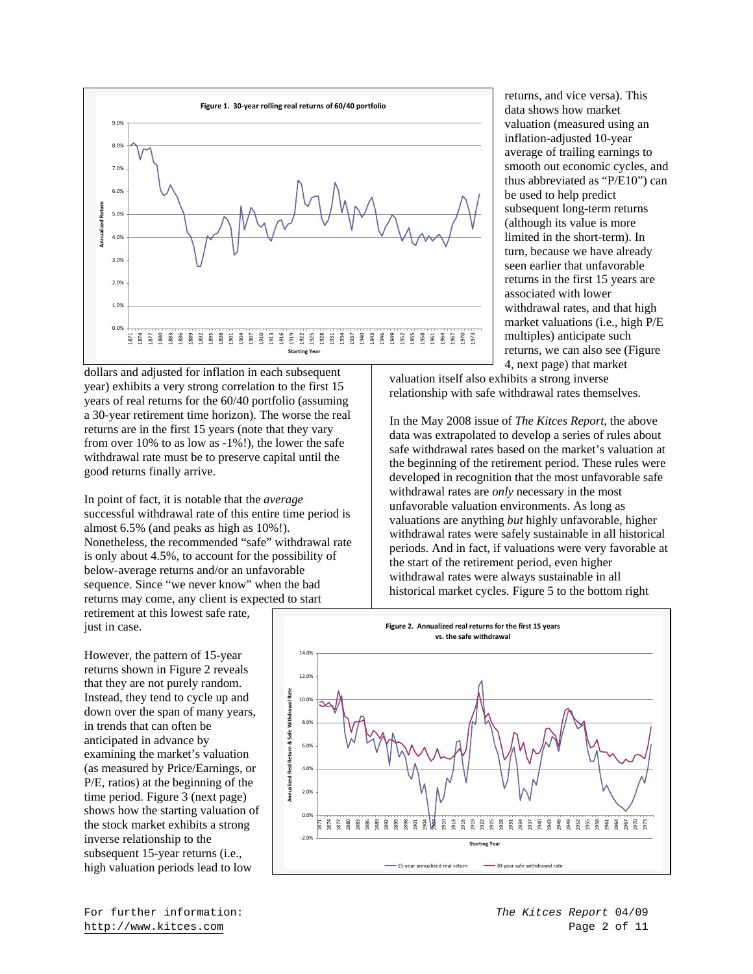

returns, and vice versa). This data shows how market valuation (measured using an inflation-adjusted 10-year average of trailing earnings to smooth out economic cycles, and thus abbreviated as "P/E10") can be used to help predict subsequent long-term returns (although its value is more market valuations (i.e., high P/E

dollars and adjusted for inflation in each subsequent year) exhibits a very strong correlation to the first 15 years of real returns for the 60/40 portfolio (assuming a 30-year retirement time horizon). The worse the real returns are in the first 15 years (note that they vary from over 10% to as low as -1%!), the lower the safe withdrawal rate must be to preserve capital until the good returns finally arrive.

In point of fact, it is notable that the *average* successful withdrawal rate of this entire time period is almost 6.5% (and peaks as high as 10%!). Nonetheless, the recommended "safe" withdrawal rate is only about 4.5%, to account for the possibility of below-average returns and/or an unfavorable sequence. Since "we never know" when the bad returns may come, any client is expected to start

limited in the short-term). In turn, because we have already seen earlier that unfavorable returns in the first 15 years are associated with lower withdrawal rates, and that high multiples) anticipate such returns, we can also see (Figure 4, next page) that market

valuation itself also exhibits a strong inverse relationship with safe withdrawal rates themselves.

In the May 2008 issue of *The Kitces Report*, the above data was extrapolated to develop a series of rules about safe withdrawal rates based on the market's valuation at the beginning of the retirement period. These rules were developed in recognition that the most unfavorable safe withdrawal rates are *only* necessary in the most unfavorable valuation environments. As long as valuations are anything *but* highly unfavorable, higher withdrawal rates were safely sustainable in all historical periods. And in fact, if valuations were very favorable at the start of the retirement period, even higher withdrawal rates were always sustainable in all historical market cycles. Figure 5 to the bottom right



retirement at this lowest safe rate, just in case.

However, the pattern of 15-year returns shown in Figure 2 reveals that they are not purely random. Instead, they tend to cycle up and down over the span of many years, in trends that can often be anticipated in advance by examining the market's valuation (as measured by Price/Earnings, or P/E, ratios) at the beginning of the time period. Figure 3 (next page) shows how the starting valuation of the stock market exhibits a strong inverse relationship to the subsequent 15-year returns (i.e., high valuation periods lead to low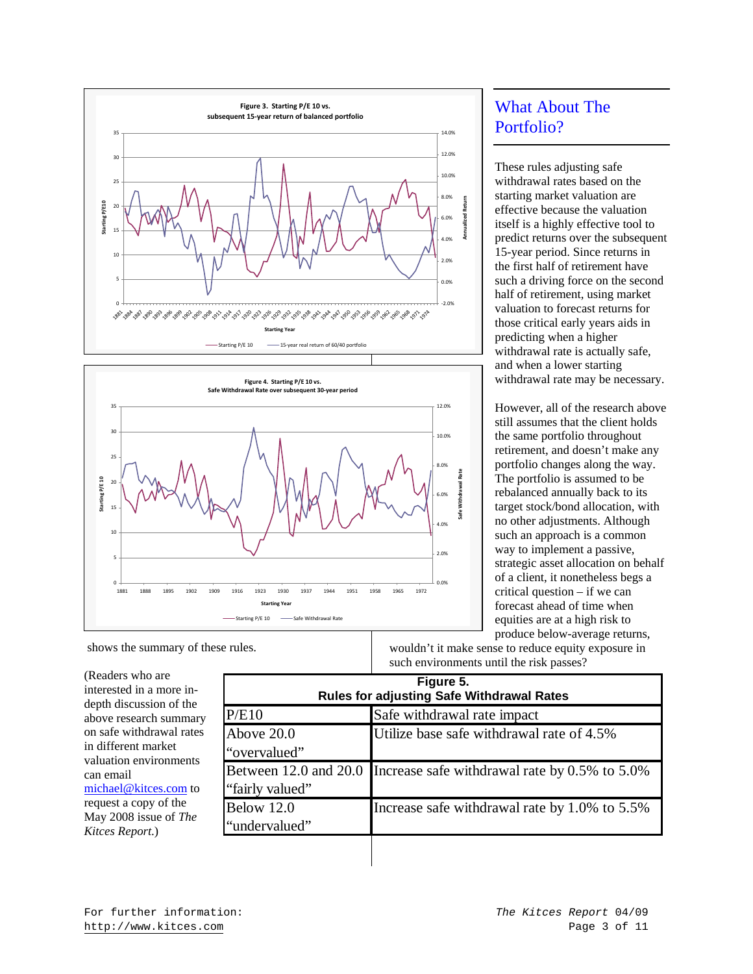



# What About The Portfolio?

These rules adjusting safe withdrawal rates based on the starting market valuation are effective because the valuation itself is a highly effective tool to predict returns over the subsequent 15-year period. Since returns in the first half of retirement have such a driving force on the second half of retirement, using market valuation to forecast returns for those critical early years aids in predicting when a higher withdrawal rate is actually safe, and when a lower starting withdrawal rate may be necessary.

However, all of the research above still assumes that the client holds the same portfolio throughout retirement, and doesn't make any portfolio changes along the way. The portfolio is assumed to be rebalanced annually back to its target stock/bond allocation, with no other adjustments. Although such an approach is a common way to implement a passive, strategic asset allocation on behalf of a client, it nonetheless begs a critical question – if we can forecast ahead of time when equities are at a high risk to produce below-average returns,

wouldn't it make sense to reduce equity exposure in such environments until the risk passes?

(Readers who are interested in a more indepth discussion of the above research summary on safe withdrawal rates in different market valuation environments can email michael@kitces.com to request a copy of the May 2008 issue of *The Kitces Report*.)

shows the summary of these rules.

| Figure 5.<br><b>Rules for adjusting Safe Withdrawal Rates</b> |                                                                     |  |  |
|---------------------------------------------------------------|---------------------------------------------------------------------|--|--|
| P/E10                                                         | Safe withdrawal rate impact                                         |  |  |
| Above $20.0$                                                  | Utilize base safe withdrawal rate of 4.5%                           |  |  |
| "overvalued"                                                  |                                                                     |  |  |
|                                                               | Between 12.0 and 20.0 Increase safe withdrawal rate by 0.5% to 5.0% |  |  |
| "fairly valued"                                               |                                                                     |  |  |
| Below 12.0                                                    | Increase safe withdrawal rate by 1.0% to 5.5%                       |  |  |
| "undervalued"                                                 |                                                                     |  |  |
|                                                               |                                                                     |  |  |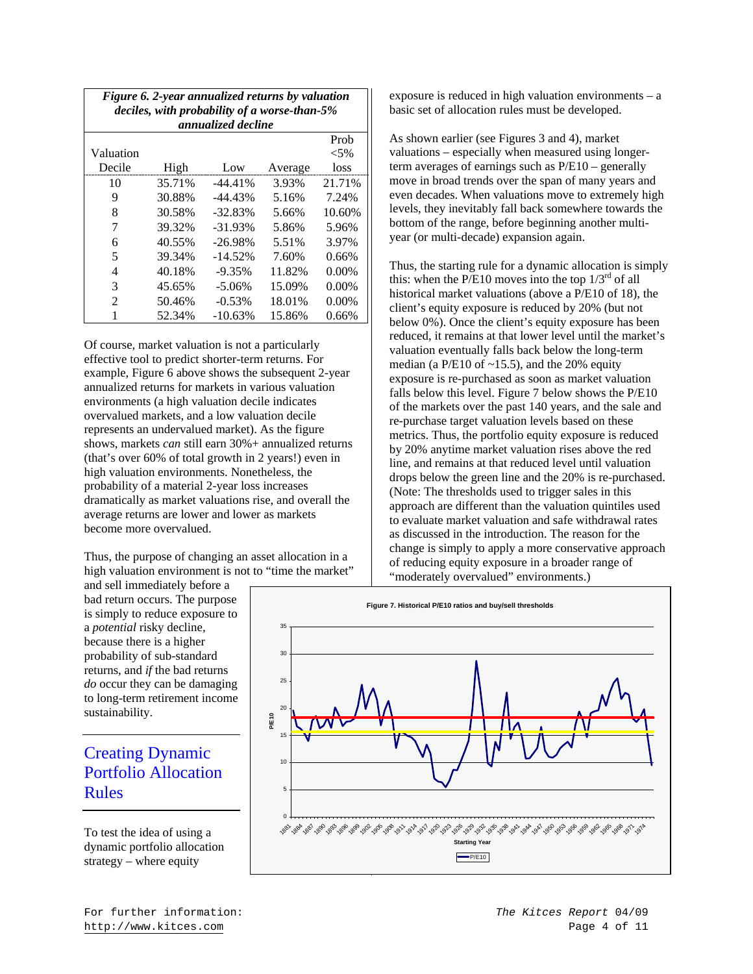| Figure 6. 2-year annualized returns by valuation<br>deciles, with probability of a worse-than-5% |        |           |         |          |
|--------------------------------------------------------------------------------------------------|--------|-----------|---------|----------|
| annualized decline                                                                               |        |           |         |          |
|                                                                                                  |        |           |         | Prob     |
| Valuation                                                                                        |        |           |         | $< 5\%$  |
| Decile                                                                                           | High   | Low       | Average | loss     |
| 10                                                                                               | 35.71% | $-44.41%$ | 3.93%   | 21.71%   |
| 9                                                                                                | 30.88% | $-44.43%$ | 5.16%   | 7.24%    |
| 8                                                                                                | 30.58% | $-32.83%$ | 5.66%   | 10.60%   |
| 7                                                                                                | 39.32% | $-31.93%$ | 5.86%   | 5.96%    |
| 6                                                                                                | 40.55% | $-26.98%$ | 5.51%   | 3.97%    |
| 5                                                                                                | 39.34% | $-14.52%$ | 7.60%   | 0.66%    |
| 4                                                                                                | 40.18% | $-9.35%$  | 11.82%  | 0.00%    |
| 3                                                                                                | 45.65% | $-5.06\%$ | 15.09%  | $0.00\%$ |
| 2                                                                                                | 50.46% | $-0.53%$  | 18.01%  | $0.00\%$ |
| 1                                                                                                | 52.34% | $-10.63%$ | 15.86%  | 0.66%    |

Of course, market valuation is not a particularly effective tool to predict shorter-term returns. For example, Figure 6 above shows the subsequent 2-year annualized returns for markets in various valuation environments (a high valuation decile indicates overvalued markets, and a low valuation decile represents an undervalued market). As the figure shows, markets *can* still earn 30%+ annualized returns (that's over 60% of total growth in 2 years!) even in high valuation environments. Nonetheless, the probability of a material 2-year loss increases dramatically as market valuations rise, and overall the average returns are lower and lower as markets become more overvalued.

Thus, the purpose of changing an asset allocation in a high valuation environment is not to "time the market"

and sell immediately before a bad return occurs. The purpose is simply to reduce exposure to a *potential* risky decline, because there is a higher probability of sub-standard returns, and *if* the bad returns *do* occur they can be damaging to long-term retirement income sustainability.

# Creating Dynamic Portfolio Allocation Rules

To test the idea of using a dynamic portfolio allocation strategy – where equity

exposure is reduced in high valuation environments – a basic set of allocation rules must be developed.

As shown earlier (see Figures 3 and 4), market valuations – especially when measured using longerterm averages of earnings such as P/E10 – generally move in broad trends over the span of many years and even decades. When valuations move to extremely high levels, they inevitably fall back somewhere towards the bottom of the range, before beginning another multiyear (or multi-decade) expansion again.

Thus, the starting rule for a dynamic allocation is simply this: when the P/E10 moves into the top  $1/3<sup>rd</sup>$  of all historical market valuations (above a P/E10 of 18), the client's equity exposure is reduced by 20% (but not below 0%). Once the client's equity exposure has been reduced, it remains at that lower level until the market's valuation eventually falls back below the long-term median (a P/E10 of  $\sim$ 15.5), and the 20% equity exposure is re-purchased as soon as market valuation falls below this level. Figure 7 below shows the P/E10 of the markets over the past 140 years, and the sale and re-purchase target valuation levels based on these metrics. Thus, the portfolio equity exposure is reduced by 20% anytime market valuation rises above the red line, and remains at that reduced level until valuation drops below the green line and the 20% is re-purchased. (Note: The thresholds used to trigger sales in this approach are different than the valuation quintiles used to evaluate market valuation and safe withdrawal rates as discussed in the introduction. The reason for the change is simply to apply a more conservative approach of reducing equity exposure in a broader range of "moderately overvalued" environments.)

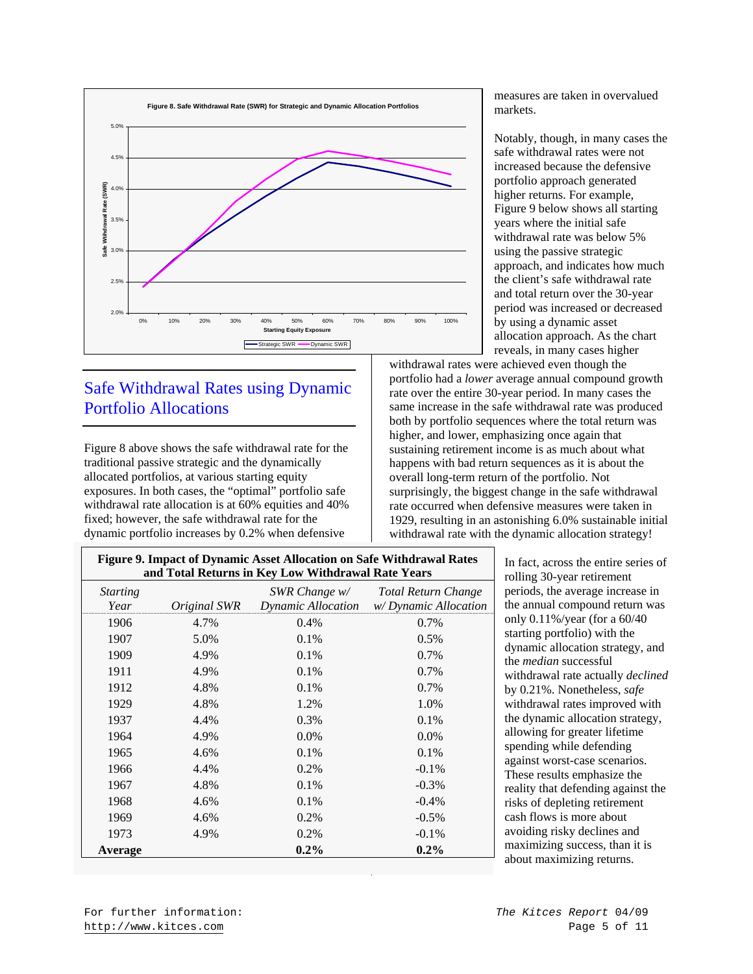

# Safe Withdrawal Rates using Dynamic Portfolio Allocations

Figure 8 above shows the safe withdrawal rate for the traditional passive strategic and the dynamically allocated portfolios, at various starting equity exposures. In both cases, the "optimal" portfolio safe withdrawal rate allocation is at 60% equities and 40% fixed; however, the safe withdrawal rate for the dynamic portfolio increases by 0.2% when defensive

measures are taken in overvalued markets.

Notably, though, in many cases the safe withdrawal rates were not increased because the defensive portfolio approach generated higher returns. For example, Figure 9 below shows all starting years where the initial safe withdrawal rate was below 5% using the passive strategic approach, and indicates how much the client's safe withdrawal rate and total return over the 30-year period was increased or decreased by using a dynamic asset allocation approach. As the chart reveals, in many cases higher

withdrawal rates were achieved even though the portfolio had a *lower* average annual compound growth rate over the entire 30-year period. In many cases the same increase in the safe withdrawal rate was produced both by portfolio sequences where the total return was higher, and lower, emphasizing once again that sustaining retirement income is as much about what happens with bad return sequences as it is about the overall long-term return of the portfolio. Not surprisingly, the biggest change in the safe withdrawal rate occurred when defensive measures were taken in 1929, resulting in an astonishing 6.0% sustainable initial withdrawal rate with the dynamic allocation strategy!

| Figure 9. Impact of Dynamic Asset Allocation on Safe Withdrawal Rates<br>and Total Returns in Key Low Withdrawal Rate Years |              |                                     |                                                    |  |
|-----------------------------------------------------------------------------------------------------------------------------|--------------|-------------------------------------|----------------------------------------------------|--|
| <i>Starting</i><br>Year                                                                                                     | Original SWR | SWR Change w/<br>Dynamic Allocation | <b>Total Return Change</b><br>w/Dynamic Allocation |  |
| 1906                                                                                                                        | 4.7%         | $0.4\%$                             | 0.7%                                               |  |
| 1907                                                                                                                        | 5.0%         | $0.1\%$                             | 0.5%                                               |  |
| 1909                                                                                                                        | 4.9%         | $0.1\%$                             | 0.7%                                               |  |
| 1911                                                                                                                        | 4.9%         | 0.1%                                | 0.7%                                               |  |
| 1912                                                                                                                        | 4.8%         | 0.1%                                | 0.7%                                               |  |
| 1929                                                                                                                        | 4.8%         | 1.2%                                | 1.0%                                               |  |
| 1937                                                                                                                        | 4.4%         | 0.3%                                | 0.1%                                               |  |
| 1964                                                                                                                        | 4.9%         | 0.0%                                | $0.0\%$                                            |  |
| 1965                                                                                                                        | 4.6%         | 0.1%                                | 0.1%                                               |  |
| 1966                                                                                                                        | 4.4%         | 0.2%                                | $-0.1%$                                            |  |
| 1967                                                                                                                        | 4.8%         | 0.1%                                | $-0.3%$                                            |  |
| 1968                                                                                                                        | 4.6%         | 0.1%                                | $-0.4%$                                            |  |
| 1969                                                                                                                        | 4.6%         | 0.2%                                | $-0.5%$                                            |  |
| 1973                                                                                                                        | 4.9%         | 0.2%                                | $-0.1%$                                            |  |
| Average                                                                                                                     |              | $0.2\%$                             | $0.2\%$                                            |  |

In fact, across the entire series of rolling 30-year retirement periods, the average increase in the annual compound return was only 0.11%/year (for a 60/40 starting portfolio) with the dynamic allocation strategy, and the *median* successful withdrawal rate actually *declined* by 0.21%. Nonetheless, *safe* withdrawal rates improved with the dynamic allocation strategy, allowing for greater lifetime spending while defending against worst-case scenarios. These results emphasize the reality that defending against the risks of depleting retirement cash flows is more about avoiding risky declines and maximizing success, than it is about maximizing returns.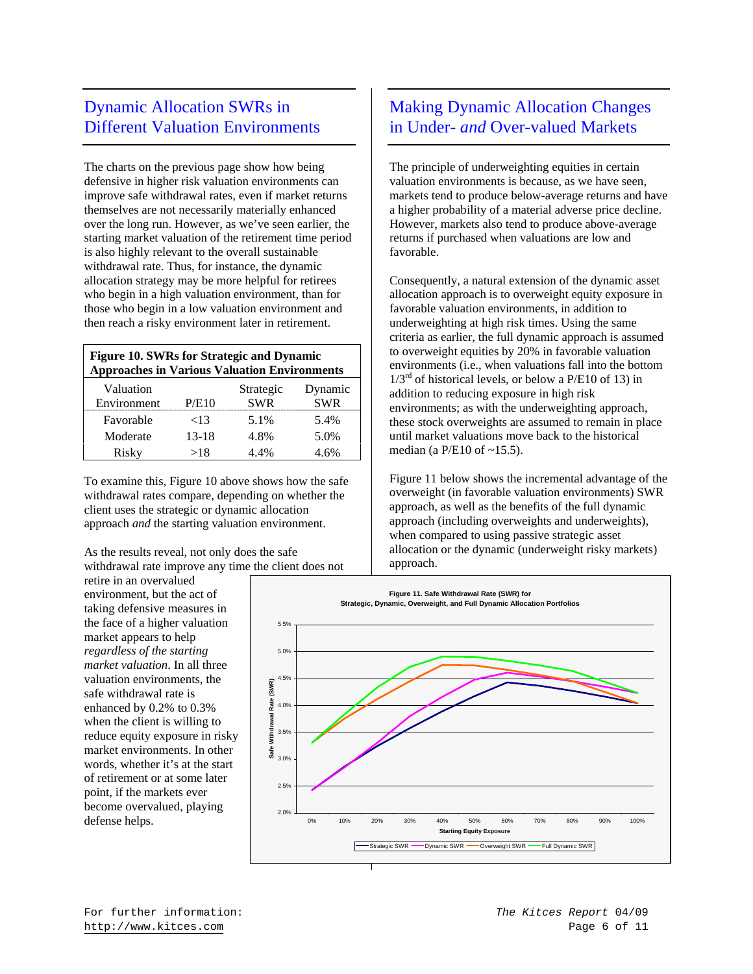# Dynamic Allocation SWRs in Different Valuation Environments

The charts on the previous page show how being defensive in higher risk valuation environments can improve safe withdrawal rates, even if market returns themselves are not necessarily materially enhanced over the long run. However, as we've seen earlier, the starting market valuation of the retirement time period is also highly relevant to the overall sustainable withdrawal rate. Thus, for instance, the dynamic allocation strategy may be more helpful for retirees who begin in a high valuation environment, than for those who begin in a low valuation environment and then reach a risky environment later in retirement.

#### **Figure 10. SWRs for Strategic and Dynamic Approaches in Various Valuation Environments**

| Valuation<br>Environment | P/E10   | Strategic<br><b>SWR</b> | Dynamic<br><b>SWR</b> |
|--------------------------|---------|-------------------------|-----------------------|
| Favorable                | ${<}13$ | 5.1%                    | 5.4%                  |
| Moderate                 | 13-18   | 4.8%                    | 5.0%                  |
| Risky                    | >18     | 4.4%                    | 4.6%                  |

To examine this, Figure 10 above shows how the safe withdrawal rates compare, depending on whether the client uses the strategic or dynamic allocation approach *and* the starting valuation environment.

As the results reveal, not only does the safe withdrawal rate improve any time the client does not

retire in an overvalued environment, but the act of taking defensive measures in the face of a higher valuation market appears to help *regardless of the starting market valuation*. In all three valuation environments, the safe withdrawal rate is enhanced by 0.2% to 0.3% when the client is willing to reduce equity exposure in risky market environments. In other words, whether it's at the start of retirement or at some later point, if the markets ever become overvalued, playing defense helps.

# Making Dynamic Allocation Changes in Under- *and* Over-valued Markets

The principle of underweighting equities in certain valuation environments is because, as we have seen, markets tend to produce below-average returns and have a higher probability of a material adverse price decline. However, markets also tend to produce above-average returns if purchased when valuations are low and favorable.

Consequently, a natural extension of the dynamic asset allocation approach is to overweight equity exposure in favorable valuation environments, in addition to underweighting at high risk times. Using the same criteria as earlier, the full dynamic approach is assumed to overweight equities by 20% in favorable valuation environments (i.e., when valuations fall into the bottom  $1/3^{rd}$  of historical levels, or below a P/E10 of 13) in addition to reducing exposure in high risk environments; as with the underweighting approach, these stock overweights are assumed to remain in place until market valuations move back to the historical median (a P/E10 of  $\approx$ 15.5).

Figure 11 below shows the incremental advantage of the overweight (in favorable valuation environments) SWR approach, as well as the benefits of the full dynamic approach (including overweights and underweights), when compared to using passive strategic asset allocation or the dynamic (underweight risky markets) approach.

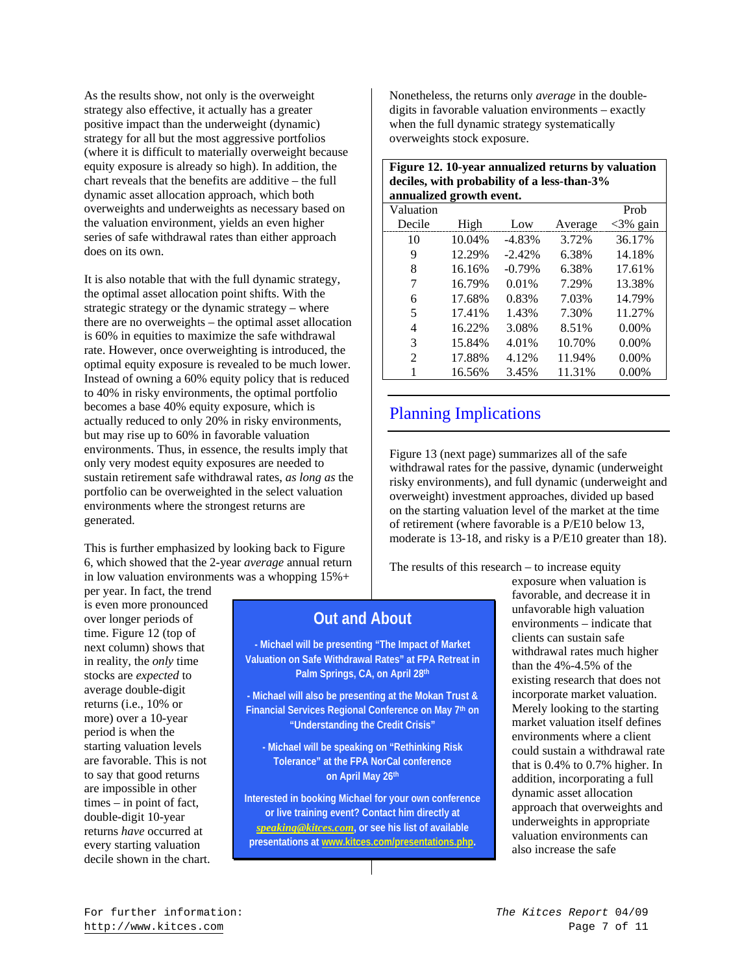As the results show, not only is the overweight strategy also effective, it actually has a greater positive impact than the underweight (dynamic) strategy for all but the most aggressive portfolios (where it is difficult to materially overweight because equity exposure is already so high). In addition, the chart reveals that the benefits are additive – the full dynamic asset allocation approach, which both overweights and underweights as necessary based on the valuation environment, yields an even higher series of safe withdrawal rates than either approach does on its own.

It is also notable that with the full dynamic strategy, the optimal asset allocation point shifts. With the strategic strategy or the dynamic strategy – where there are no overweights – the optimal asset allocation is 60% in equities to maximize the safe withdrawal rate. However, once overweighting is introduced, the optimal equity exposure is revealed to be much lower. Instead of owning a 60% equity policy that is reduced to 40% in risky environments, the optimal portfolio becomes a base 40% equity exposure, which is actually reduced to only 20% in risky environments, but may rise up to 60% in favorable valuation environments. Thus, in essence, the results imply that only very modest equity exposures are needed to sustain retirement safe withdrawal rates, *as long as* the portfolio can be overweighted in the select valuation environments where the strongest returns are generated.

This is further emphasized by looking back to Figure 6, which showed that the 2-year *average* annual return in low valuation environments was a whopping 15%+

per year. In fact, the trend is even more pronounced over longer periods of time. Figure 12 (top of next column) shows that in reality, the *only* time stocks are *expected* to average double-digit returns (i.e., 10% or more) over a 10-year period is when the starting valuation levels are favorable. This is not to say that good returns are impossible in other times – in point of fact, double-digit 10-year returns *have* occurred at every starting valuation decile shown in the chart.

Nonetheless, the returns only *average* in the doubledigits in favorable valuation environments – exactly when the full dynamic strategy systematically overweights stock exposure.

#### **Figure 12. 10-year annualized returns by valuation deciles, with probability of a less-than-3% annualized growth event.**

| Valuation      |        |          |         | Prob        |
|----------------|--------|----------|---------|-------------|
| Decile         | High   | Low      | Average | $<3\%$ gain |
| 10             | 10.04% | $-4.83%$ | 3.72%   | 36.17%      |
| 9              | 12.29% | $-2.42%$ | 6.38%   | 14.18%      |
| 8              | 16.16% | $-0.79%$ | 6.38%   | 17.61%      |
| 7              | 16.79% | 0.01%    | 7.29%   | 13.38%      |
| 6              | 17.68% | 0.83%    | 7.03%   | 14.79%      |
| 5              | 17.41% | 1.43%    | 7.30%   | 11.27%      |
| 4              | 16.22% | 3.08%    | 8.51%   | $0.00\%$    |
| 3              | 15.84% | 4.01%    | 10.70%  | 0.00%       |
| $\mathfrak{D}$ | 17.88% | 4.12%    | 11.94%  | 0.00%       |
| 1              | 16.56% | 3.45%    | 11.31%  | 0.00%       |
|                |        |          |         |             |

## Planning Implications

Figure 13 (next page) summarizes all of the safe withdrawal rates for the passive, dynamic (underweight risky environments), and full dynamic (underweight and overweight) investment approaches, divided up based on the starting valuation level of the market at the time of retirement (where favorable is a P/E10 below 13, moderate is 13-18, and risky is a P/E10 greater than 18).

The results of this research – to increase equity

### **Out and About**

**- Michael will be presenting "The Impact of Market Valuation on Safe Withdrawal Rates" at FPA Retreat in Palm Springs, CA, on April 28th** 

**- Michael will also be presenting at the Mokan Trust & Financial Services Regional Conference on May 7th on "Understanding the Credit Crisis"** 

**- Michael will be speaking on "Rethinking Risk Tolerance" at the FPA NorCal conference on April May 26th** 

**Interested in booking Michael for your own conference or live training event? Contact him directly at**  *speaking@kitces.com***, or see his list of available presentations at www.kitces.com/presentations.php.** 

exposure when valuation is favorable, and decrease it in unfavorable high valuation environments – indicate that clients can sustain safe withdrawal rates much higher than the 4%-4.5% of the existing research that does not incorporate market valuation. Merely looking to the starting market valuation itself defines environments where a client could sustain a withdrawal rate that is 0.4% to 0.7% higher. In addition, incorporating a full dynamic asset allocation approach that overweights and underweights in appropriate valuation environments can also increase the safe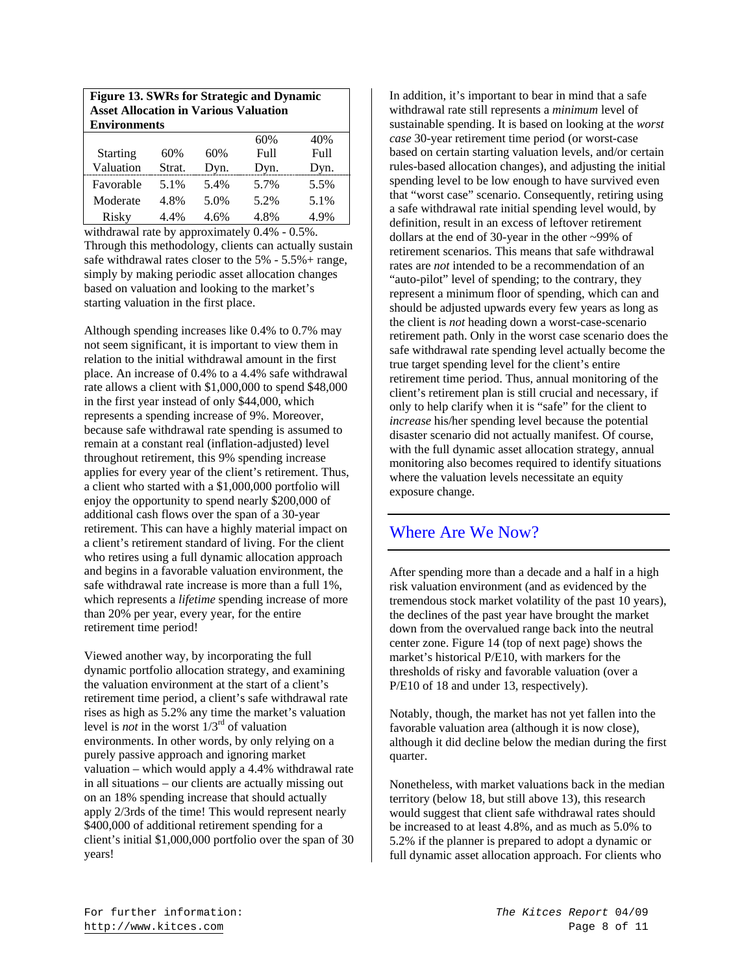| <b>Figure 13. SWRs for Strategic and Dynamic</b><br><b>Asset Allocation in Various Valuation</b><br><b>Environments</b> |        |      |      |      |
|-------------------------------------------------------------------------------------------------------------------------|--------|------|------|------|
|                                                                                                                         |        |      | 60%  | 40%  |
| <b>Starting</b>                                                                                                         | 60%    | 60%  | Full | Full |
| Valuation                                                                                                               | Strat. | Dyn. | Dyn. | Dyn. |
| Favorable                                                                                                               | 5.1%   | 5.4% | 5.7% | 5.5% |
| Moderate                                                                                                                | 4.8%   | 5.0% | 5.2% | 5.1% |
| Risky                                                                                                                   | 4.4%   | 4.6% | 4.8% | 4.9% |

withdrawal rate by approximately 0.4% - 0.5%.

Through this methodology, clients can actually sustain safe withdrawal rates closer to the 5% - 5.5%+ range, simply by making periodic asset allocation changes based on valuation and looking to the market's starting valuation in the first place.

Although spending increases like 0.4% to 0.7% may not seem significant, it is important to view them in relation to the initial withdrawal amount in the first place. An increase of 0.4% to a 4.4% safe withdrawal rate allows a client with \$1,000,000 to spend \$48,000 in the first year instead of only \$44,000, which represents a spending increase of 9%. Moreover, because safe withdrawal rate spending is assumed to remain at a constant real (inflation-adjusted) level throughout retirement, this 9% spending increase applies for every year of the client's retirement. Thus, a client who started with a \$1,000,000 portfolio will enjoy the opportunity to spend nearly \$200,000 of additional cash flows over the span of a 30-year retirement. This can have a highly material impact on a client's retirement standard of living. For the client who retires using a full dynamic allocation approach and begins in a favorable valuation environment, the safe withdrawal rate increase is more than a full 1%, which represents a *lifetime* spending increase of more than 20% per year, every year, for the entire retirement time period!

Viewed another way, by incorporating the full dynamic portfolio allocation strategy, and examining the valuation environment at the start of a client's retirement time period, a client's safe withdrawal rate rises as high as 5.2% any time the market's valuation level is *not* in the worst  $1/3^{rd}$  of valuation environments. In other words, by only relying on a purely passive approach and ignoring market valuation – which would apply a 4.4% withdrawal rate in all situations – our clients are actually missing out on an 18% spending increase that should actually apply 2/3rds of the time! This would represent nearly \$400,000 of additional retirement spending for a client's initial \$1,000,000 portfolio over the span of 30 years!

In addition, it's important to bear in mind that a safe withdrawal rate still represents a *minimum* level of sustainable spending. It is based on looking at the *worst case* 30-year retirement time period (or worst-case based on certain starting valuation levels, and/or certain rules-based allocation changes), and adjusting the initial spending level to be low enough to have survived even that "worst case" scenario. Consequently, retiring using a safe withdrawal rate initial spending level would, by definition, result in an excess of leftover retirement dollars at the end of 30-year in the other ~99% of retirement scenarios. This means that safe withdrawal rates are *not* intended to be a recommendation of an "auto-pilot" level of spending; to the contrary, they represent a minimum floor of spending, which can and should be adjusted upwards every few years as long as the client is *not* heading down a worst-case-scenario retirement path. Only in the worst case scenario does the safe withdrawal rate spending level actually become the true target spending level for the client's entire retirement time period. Thus, annual monitoring of the client's retirement plan is still crucial and necessary, if only to help clarify when it is "safe" for the client to *increase* his/her spending level because the potential disaster scenario did not actually manifest. Of course, with the full dynamic asset allocation strategy, annual monitoring also becomes required to identify situations where the valuation levels necessitate an equity exposure change.

### Where Are We Now?

After spending more than a decade and a half in a high risk valuation environment (and as evidenced by the tremendous stock market volatility of the past 10 years), the declines of the past year have brought the market down from the overvalued range back into the neutral center zone. Figure 14 (top of next page) shows the market's historical P/E10, with markers for the thresholds of risky and favorable valuation (over a P/E10 of 18 and under 13, respectively).

Notably, though, the market has not yet fallen into the favorable valuation area (although it is now close), although it did decline below the median during the first quarter.

Nonetheless, with market valuations back in the median territory (below 18, but still above 13), this research would suggest that client safe withdrawal rates should be increased to at least 4.8%, and as much as 5.0% to 5.2% if the planner is prepared to adopt a dynamic or full dynamic asset allocation approach. For clients who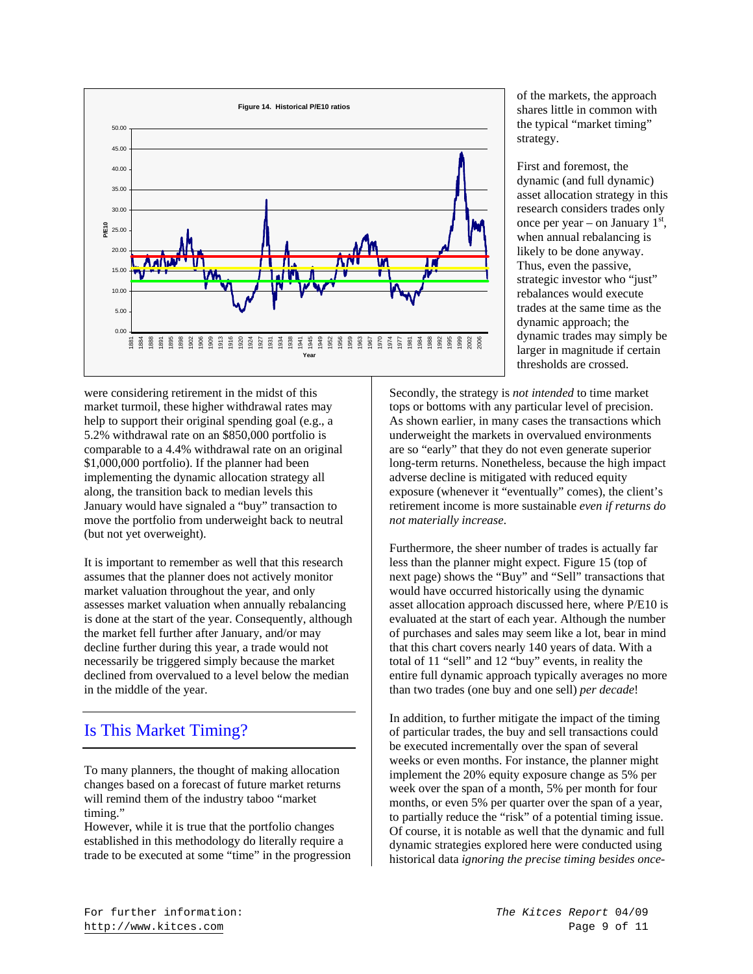

were considering retirement in the midst of this market turmoil, these higher withdrawal rates may help to support their original spending goal (e.g., a 5.2% withdrawal rate on an \$850,000 portfolio is comparable to a 4.4% withdrawal rate on an original \$1,000,000 portfolio). If the planner had been implementing the dynamic allocation strategy all along, the transition back to median levels this January would have signaled a "buy" transaction to move the portfolio from underweight back to neutral (but not yet overweight).

It is important to remember as well that this research assumes that the planner does not actively monitor market valuation throughout the year, and only assesses market valuation when annually rebalancing is done at the start of the year. Consequently, although the market fell further after January, and/or may decline further during this year, a trade would not necessarily be triggered simply because the market declined from overvalued to a level below the median in the middle of the year.

### Is This Market Timing?

To many planners, the thought of making allocation changes based on a forecast of future market returns will remind them of the industry taboo "market timing."

However, while it is true that the portfolio changes established in this methodology do literally require a trade to be executed at some "time" in the progression of the markets, the approach shares little in common with the typical "market timing" strategy.

First and foremost, the dynamic (and full dynamic) asset allocation strategy in this research considers trades only once per year – on January  $1^{st}$ , when annual rebalancing is likely to be done anyway. Thus, even the passive, strategic investor who "just" rebalances would execute trades at the same time as the dynamic approach; the dynamic trades may simply be larger in magnitude if certain thresholds are crossed.

Secondly, the strategy is *not intended* to time market tops or bottoms with any particular level of precision. As shown earlier, in many cases the transactions which underweight the markets in overvalued environments are so "early" that they do not even generate superior long-term returns. Nonetheless, because the high impact adverse decline is mitigated with reduced equity exposure (whenever it "eventually" comes), the client's retirement income is more sustainable *even if returns do not materially increase*.

Furthermore, the sheer number of trades is actually far less than the planner might expect. Figure 15 (top of next page) shows the "Buy" and "Sell" transactions that would have occurred historically using the dynamic asset allocation approach discussed here, where P/E10 is evaluated at the start of each year. Although the number of purchases and sales may seem like a lot, bear in mind that this chart covers nearly 140 years of data. With a total of 11 "sell" and 12 "buy" events, in reality the entire full dynamic approach typically averages no more than two trades (one buy and one sell) *per decade*!

In addition, to further mitigate the impact of the timing of particular trades, the buy and sell transactions could be executed incrementally over the span of several weeks or even months. For instance, the planner might implement the 20% equity exposure change as 5% per week over the span of a month, 5% per month for four months, or even 5% per quarter over the span of a year, to partially reduce the "risk" of a potential timing issue. Of course, it is notable as well that the dynamic and full dynamic strategies explored here were conducted using historical data *ignoring the precise timing besides once-*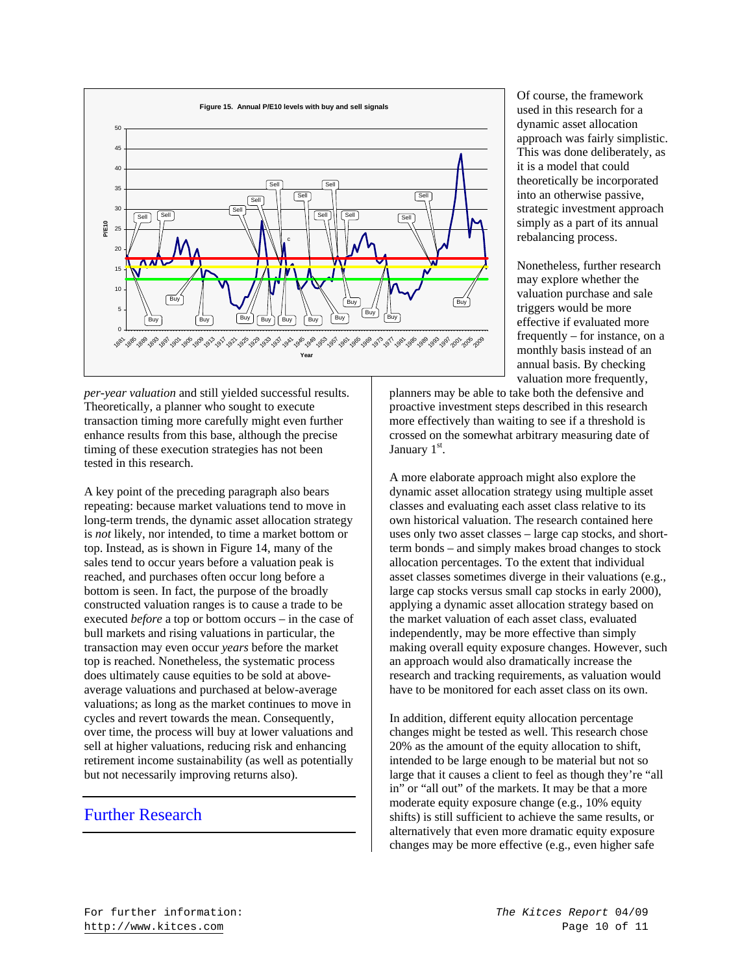

*per-year valuation* and still yielded successful results. Theoretically, a planner who sought to execute transaction timing more carefully might even further enhance results from this base, although the precise timing of these execution strategies has not been tested in this research.

A key point of the preceding paragraph also bears repeating: because market valuations tend to move in long-term trends, the dynamic asset allocation strategy is *not* likely, nor intended, to time a market bottom or top. Instead, as is shown in Figure 14, many of the sales tend to occur years before a valuation peak is reached, and purchases often occur long before a bottom is seen. In fact, the purpose of the broadly constructed valuation ranges is to cause a trade to be executed *before* a top or bottom occurs – in the case of bull markets and rising valuations in particular, the transaction may even occur *years* before the market top is reached. Nonetheless, the systematic process does ultimately cause equities to be sold at aboveaverage valuations and purchased at below-average valuations; as long as the market continues to move in cycles and revert towards the mean. Consequently, over time, the process will buy at lower valuations and sell at higher valuations, reducing risk and enhancing retirement income sustainability (as well as potentially but not necessarily improving returns also).

### Further Research

Of course, the framework used in this research for a dynamic asset allocation approach was fairly simplistic. This was done deliberately, as it is a model that could theoretically be incorporated into an otherwise passive, strategic investment approach simply as a part of its annual rebalancing process.

Nonetheless, further research may explore whether the valuation purchase and sale triggers would be more effective if evaluated more frequently – for instance, on a monthly basis instead of an annual basis. By checking valuation more frequently,

planners may be able to take both the defensive and proactive investment steps described in this research more effectively than waiting to see if a threshold is crossed on the somewhat arbitrary measuring date of January 1<sup>st</sup>.

A more elaborate approach might also explore the dynamic asset allocation strategy using multiple asset classes and evaluating each asset class relative to its own historical valuation. The research contained here uses only two asset classes – large cap stocks, and shortterm bonds – and simply makes broad changes to stock allocation percentages. To the extent that individual asset classes sometimes diverge in their valuations (e.g., large cap stocks versus small cap stocks in early 2000), applying a dynamic asset allocation strategy based on the market valuation of each asset class, evaluated independently, may be more effective than simply making overall equity exposure changes. However, such an approach would also dramatically increase the research and tracking requirements, as valuation would have to be monitored for each asset class on its own.

In addition, different equity allocation percentage changes might be tested as well. This research chose 20% as the amount of the equity allocation to shift, intended to be large enough to be material but not so large that it causes a client to feel as though they're "all in" or "all out" of the markets. It may be that a more moderate equity exposure change (e.g., 10% equity shifts) is still sufficient to achieve the same results, or alternatively that even more dramatic equity exposure changes may be more effective (e.g., even higher safe